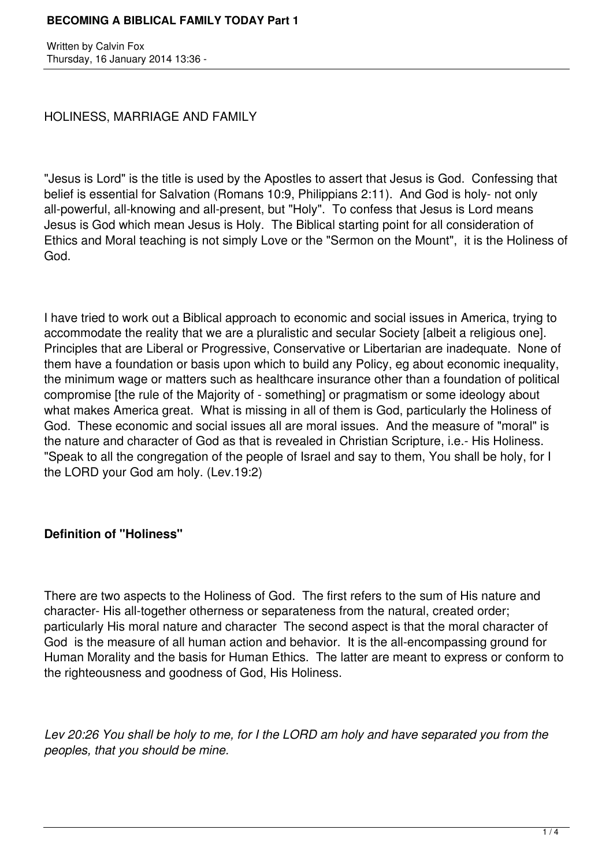Written by Calvin Fox Thursday, 16 January 2014 13:36 -

HOLINESS, MARRIAGE AND FAMILY

"Jesus is Lord" is the title is used by the Apostles to assert that Jesus is God. Confessing that belief is essential for Salvation (Romans 10:9, Philippians 2:11). And God is holy- not only all-powerful, all-knowing and all-present, but "Holy". To confess that Jesus is Lord means Jesus is God which mean Jesus is Holy. The Biblical starting point for all consideration of Ethics and Moral teaching is not simply Love or the "Sermon on the Mount", it is the Holiness of God.

I have tried to work out a Biblical approach to economic and social issues in America, trying to accommodate the reality that we are a pluralistic and secular Society [albeit a religious one]. Principles that are Liberal or Progressive, Conservative or Libertarian are inadequate. None of them have a foundation or basis upon which to build any Policy, eg about economic inequality, the minimum wage or matters such as healthcare insurance other than a foundation of political compromise [the rule of the Majority of - something] or pragmatism or some ideology about what makes America great. What is missing in all of them is God, particularly the Holiness of God. These economic and social issues all are moral issues. And the measure of "moral" is the nature and character of God as that is revealed in Christian Scripture, i.e.- His Holiness. "Speak to all the congregation of the people of Israel and say to them, You shall be holy, for I the LORD your God am holy. (Lev.19:2)

# **Definition of "Holiness"**

There are two aspects to the Holiness of God. The first refers to the sum of His nature and character- His all-together otherness or separateness from the natural, created order; particularly His moral nature and character The second aspect is that the moral character of God is the measure of all human action and behavior. It is the all-encompassing ground for Human Morality and the basis for Human Ethics. The latter are meant to express or conform to the righteousness and goodness of God, His Holiness.

*Lev 20:26 You shall be holy to me, for I the LORD am holy and have separated you from the peoples, that you should be mine.*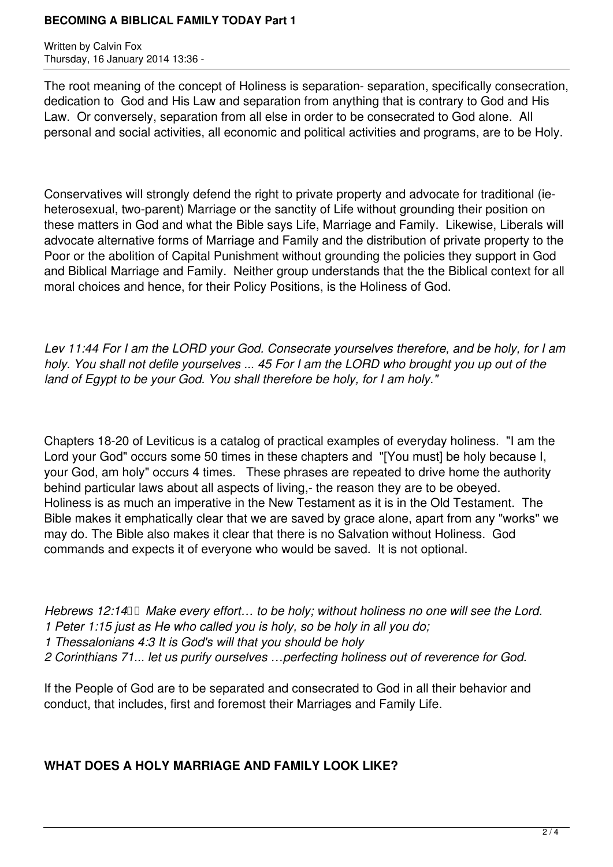Written by Calvin Fox Thursday, 16 January 2014 13:36 -

The root meaning of the concept of Holiness is separation- separation, specifically consecration, dedication to God and His Law and separation from anything that is contrary to God and His Law. Or conversely, separation from all else in order to be consecrated to God alone. All personal and social activities, all economic and political activities and programs, are to be Holy.

Conservatives will strongly defend the right to private property and advocate for traditional (ieheterosexual, two-parent) Marriage or the sanctity of Life without grounding their position on these matters in God and what the Bible says Life, Marriage and Family. Likewise, Liberals will advocate alternative forms of Marriage and Family and the distribution of private property to the Poor or the abolition of Capital Punishment without grounding the policies they support in God and Biblical Marriage and Family. Neither group understands that the the Biblical context for all moral choices and hence, for their Policy Positions, is the Holiness of God.

*Lev 11:44 For I am the LORD your God. Consecrate yourselves therefore, and be holy, for I am holy. You shall not defile yourselves ... 45 For I am the LORD who brought you up out of the land of Egypt to be your God. You shall therefore be holy, for I am holy."* 

Chapters 18-20 of Leviticus is a catalog of practical examples of everyday holiness. "I am the Lord your God" occurs some 50 times in these chapters and "[You must] be holy because I, your God, am holy" occurs 4 times. These phrases are repeated to drive home the authority behind particular laws about all aspects of living,- the reason they are to be obeyed. Holiness is as much an imperative in the New Testament as it is in the Old Testament. The Bible makes it emphatically clear that we are saved by grace alone, apart from any "works" we may do. The Bible also makes it clear that there is no Salvation without Holiness. God commands and expects it of everyone who would be saved. It is not optional.

*Hebrews 12:14*  $\Box$  *Make every effort... to be holy; without holiness no one will see the Lord. 1 Peter 1:15 just as He who called you is holy, so be holy in all you do; 1 Thessalonians 4:3 It is God's will that you should be holy 2 Corinthians 71... let us purify ourselves …perfecting holiness out of reverence for God.* 

If the People of God are to be separated and consecrated to God in all their behavior and conduct, that includes, first and foremost their Marriages and Family Life.

# **WHAT DOES A HOLY MARRIAGE AND FAMILY LOOK LIKE?**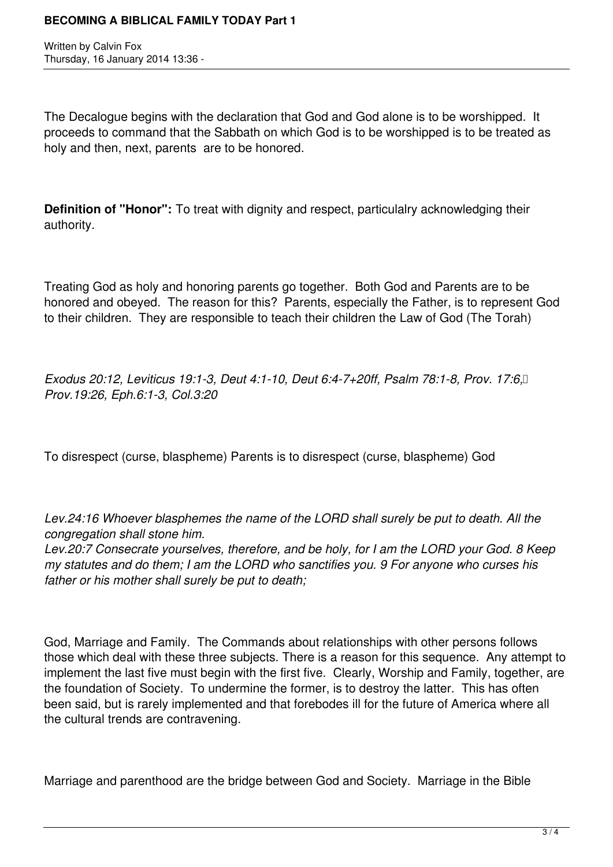Written by Calvin Fox Thursday, 16 January 2014 13:36 -

The Decalogue begins with the declaration that God and God alone is to be worshipped. It proceeds to command that the Sabbath on which God is to be worshipped is to be treated as holy and then, next, parents are to be honored.

**Definition of "Honor":** To treat with dignity and respect, particulalry acknowledging their authority.

Treating God as holy and honoring parents go together. Both God and Parents are to be honored and obeyed. The reason for this? Parents, especially the Father, is to represent God to their children. They are responsible to teach their children the Law of God (The Torah)

*Exodus 20:12, Leviticus 19:1-3, Deut 4:1-10, Deut 6:4-7+20ff, Psalm 78:1-8, Prov. 17:6, Prov.19:26, Eph.6:1-3, Col.3:20*

To disrespect (curse, blaspheme) Parents is to disrespect (curse, blaspheme) God

*Lev.24:16 Whoever blasphemes the name of the LORD shall surely be put to death. All the congregation shall stone him.* 

*Lev.20:7 Consecrate yourselves, therefore, and be holy, for I am the LORD your God. 8 Keep my statutes and do them; I am the LORD who sanctifies you. 9 For anyone who curses his father or his mother shall surely be put to death;*

God, Marriage and Family. The Commands about relationships with other persons follows those which deal with these three subjects. There is a reason for this sequence. Any attempt to implement the last five must begin with the first five. Clearly, Worship and Family, together, are the foundation of Society. To undermine the former, is to destroy the latter. This has often been said, but is rarely implemented and that forebodes ill for the future of America where all the cultural trends are contravening.

Marriage and parenthood are the bridge between God and Society. Marriage in the Bible